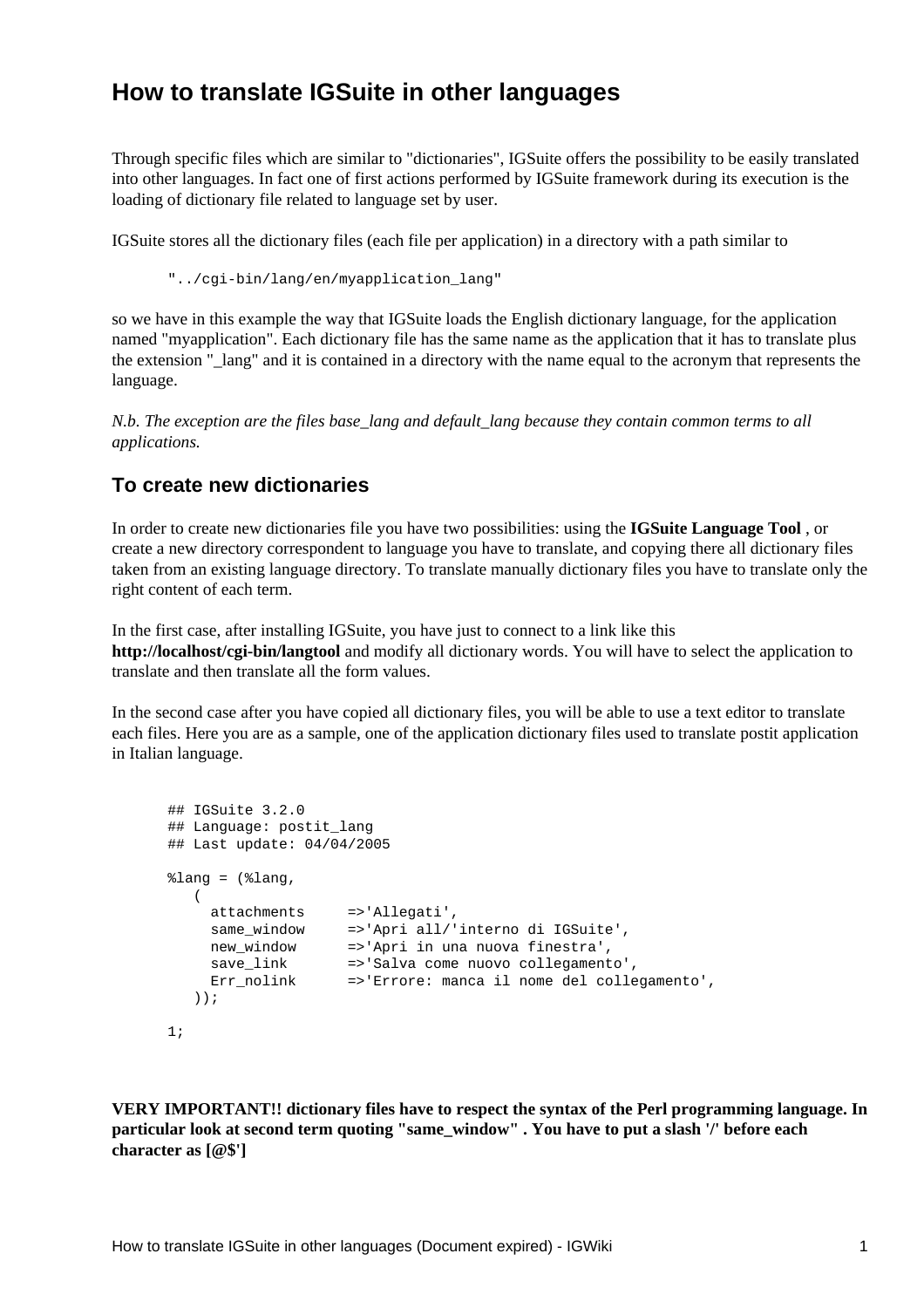## **How to translate IGSuite in other languages**

Through specific files which are similar to "dictionaries", IGSuite offers the possibility to be easily translated into other languages. In fact one of first actions performed by IGSuite framework during its execution is the loading of dictionary file related to language set by user.

IGSuite stores all the dictionary files (each file per application) in a directory with a path similar to

"../cgi-bin/lang/en/myapplication\_lang"

so we have in this example the way that IGSuite loads the English dictionary language, for the application named "myapplication". Each dictionary file has the same name as the application that it has to translate plus the extension "\_lang" and it is contained in a directory with the name equal to the acronym that represents the language.

*N.b. The exception are the files base\_lang and default\_lang because they contain common terms to all applications.*

## **To create new dictionaries**

In order to create new dictionaries file you have two possibilities: using the **IGSuite Language Tool** , or create a new directory correspondent to language you have to translate, and copying there all dictionary files taken from an existing language directory. To translate manually dictionary files you have to translate only the right content of each term.

In the first case, after installing IGSuite, you have just to connect to a link like this **http://localhost/cgi-bin/langtool** and modify all dictionary words. You will have to select the application to translate and then translate all the form values.

In the second case after you have copied all dictionary files, you will be able to use a text editor to translate each files. Here you are as a sample, one of the application dictionary files used to translate postit application in Italian language.

```
## IGSuite 3.2.0
## Language: postit lang
## Last update: 04/04/2005
\text{lang} = (\text{lang}, (
 attachments =>'Allegati',
 same_window =>'Apri all/'interno di IGSuite',
 new_window =>'Apri in una nuova finestra',
 save_link =>'Salva come nuovo collegamento',
 Err_nolink =>'Errore: manca il nome del collegamento',
   ));
1;
```
**VERY IMPORTANT!! dictionary files have to respect the syntax of the Perl programming language. In particular look at second term quoting "same\_window" . You have to put a slash '/' before each character as [@\$']**